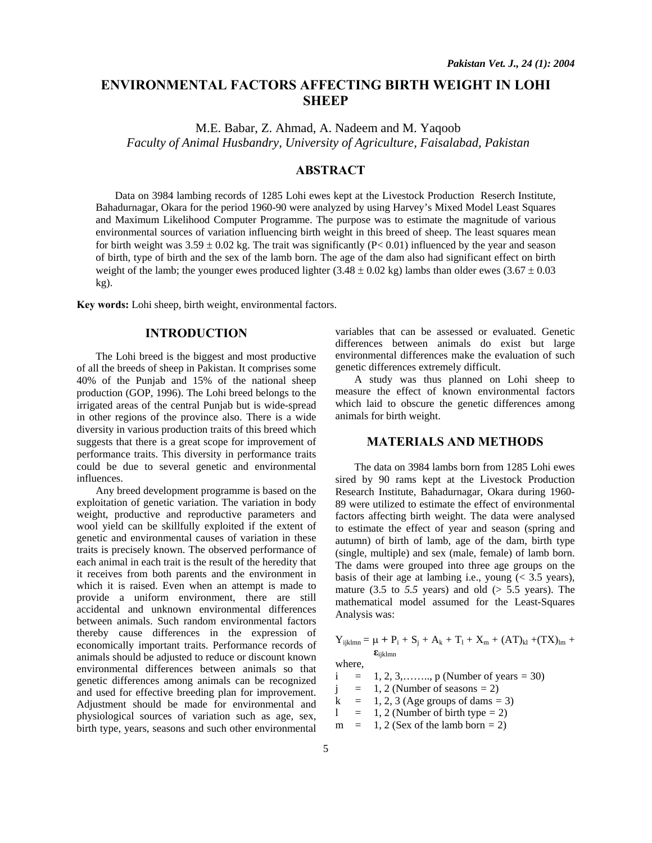# **ENVIRONMENTAL FACTORS AFFECTING BIRTH WEIGHT IN LOHI SHEEP**

M.E. Babar, Z. Ahmad, A. Nadeem and M. Yaqoob *Faculty of Animal Husbandry, University of Agriculture, Faisalabad, Pakistan* 

# **ABSTRACT**

Data on 3984 lambing records of 1285 Lohi ewes kept at the Livestock Production Reserch Institute, Bahadurnagar, Okara for the period 1960-90 were analyzed by using Harvey's Mixed Model Least Squares and Maximum Likelihood Computer Programme. The purpose was to estimate the magnitude of various environmental sources of variation influencing birth weight in this breed of sheep. The least squares mean for birth weight was  $3.59 \pm 0.02$  kg. The trait was significantly (P< 0.01) influenced by the year and season of birth, type of birth and the sex of the lamb born. The age of the dam also had significant effect on birth weight of the lamb; the younger ewes produced lighter (3.48  $\pm$  0.02 kg) lambs than older ewes (3.67  $\pm$  0.03 kg).

**Key words:** Lohi sheep, birth weight, environmental factors.

# **INTRODUCTION**

The Lohi breed is the biggest and most productive of all the breeds of sheep in Pakistan. It comprises some 40% of the Punjab and 15% of the national sheep production (GOP, 1996). The Lohi breed belongs to the irrigated areas of the central Punjab but is wide-spread in other regions of the province also. There is a wide diversity in various production traits of this breed which suggests that there is a great scope for improvement of performance traits. This diversity in performance traits could be due to several genetic and environmental influences.

Any breed development programme is based on the exploitation of genetic variation. The variation in body weight, productive and reproductive parameters and wool yield can be skillfully exploited if the extent of genetic and environmental causes of variation in these traits is precisely known. The observed performance of each animal in each trait is the result of the heredity that it receives from both parents and the environment in which it is raised. Even when an attempt is made to provide a uniform environment, there are still accidental and unknown environmental differences between animals. Such random environmental factors thereby cause differences in the expression of economically important traits. Performance records of animals should be adjusted to reduce or discount known environmental differences between animals so that genetic differences among animals can be recognized and used for effective breeding plan for improvement. Adjustment should be made for environmental and physiological sources of variation such as age, sex, birth type, years, seasons and such other environmental

variables that can be assessed or evaluated. Genetic differences between animals do exist but large environmental differences make the evaluation of such genetic differences extremely difficult.

A study was thus planned on Lohi sheep to measure the effect of known environmental factors which laid to obscure the genetic differences among animals for birth weight.

### **MATERIALS AND METHODS**

The data on 3984 lambs born from 1285 Lohi ewes sired by 90 rams kept at the Livestock Production Research Institute, Bahadurnagar, Okara during 1960- 89 were utilized to estimate the effect of environmental factors affecting birth weight. The data were analysed to estimate the effect of year and season (spring and autumn) of birth of lamb, age of the dam, birth type (single, multiple) and sex (male, female) of lamb born. The dams were grouped into three age groups on the basis of their age at lambing i.e., young  $\approx$  3.5 years), mature  $(3.5 \text{ to } 5.5 \text{ years})$  and old  $(> 5.5 \text{ years})$ . The mathematical model assumed for the Least-Squares Analysis was:

$$
Y_{ijklmn} = \mu + P_i + S_j + A_k + T_l + X_m + (AT)_{kl} + (TX)_{lm} +
$$

 **ε**ijklmn where,

i *=* 1, 2, 3,…….., p (Number of years *=* 30)

 $j = 1, 2$  (Number of seasons = 2)

 $k = 1, 2, 3$  (Age groups of dams = 3)

 $1 = 1, 2$  (Number of birth type  $= 2$ )

 $m = 1, 2$  (Sex of the lamb born  $= 2$ )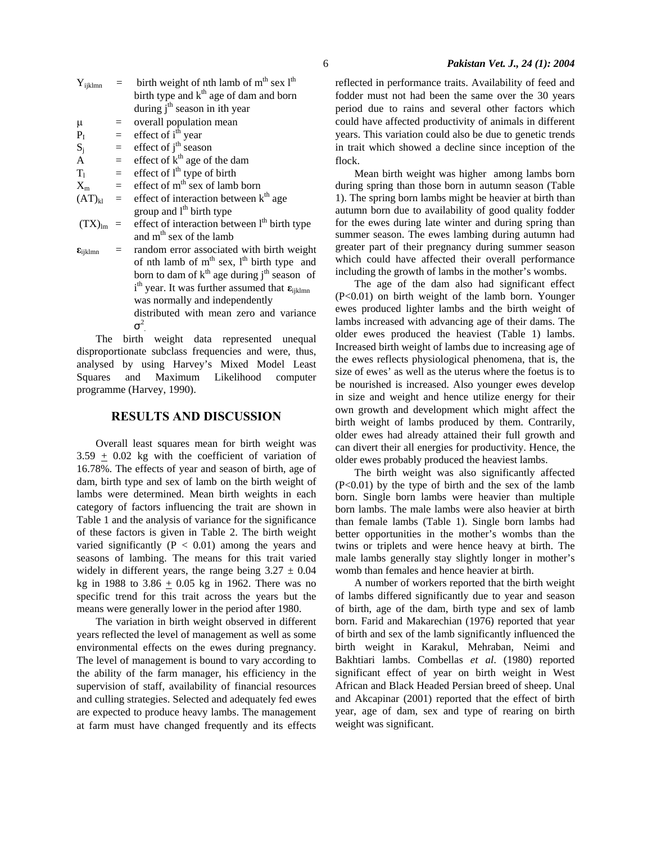| $Y_{ijklmn}$        |     | birth weight of nth lamb of $mth$ sex $lth$                                                  |  |  |  |
|---------------------|-----|----------------------------------------------------------------------------------------------|--|--|--|
|                     |     | birth type and k <sup>th</sup> age of dam and born                                           |  |  |  |
|                     |     | during $jth$ season in ith year                                                              |  |  |  |
| $\mu$               |     | overall population mean                                                                      |  |  |  |
| P <sub>I</sub>      | $=$ | effect of i <sup>th</sup> year                                                               |  |  |  |
| $S_i$               | $=$ | effect of $jth$ season                                                                       |  |  |  |
| $\overline{A}$      | $=$ | effect of $kth$ age of the dam                                                               |  |  |  |
| $T_1$               | $=$ | effect of l <sup>th</sup> type of birth                                                      |  |  |  |
| $X_{m}$             | $=$ | effect of m <sup>th</sup> sex of lamb born                                                   |  |  |  |
| $(AT)_{kl}$         | $=$ | effect of interaction between k <sup>th</sup> age                                            |  |  |  |
|                     |     | group and l <sup>th</sup> birth type                                                         |  |  |  |
| $(TX)_{lm}$         | $=$ | effect of interaction between l <sup>th</sup> birth type                                     |  |  |  |
|                     |     | and m <sup>th</sup> sex of the lamb                                                          |  |  |  |
| $\epsilon_{ijklmn}$ |     | random error associated with birth weight<br>$\circ$ and $\circ$ the distribution of $\circ$ |  |  |  |

of nth lamb of  $m<sup>th</sup>$  sex,  $l<sup>th</sup>$  birth type and born to dam of  $k<sup>th</sup>$  age during  $j<sup>th</sup>$  season of ith year. It was further assumed that **ε**ijklmn was normally and independently distributed with mean zero and variance  $\sigma^2$ 

 The birth weight data represented unequal disproportionate subclass frequencies and were, thus, analysed by using Harvey's Mixed Model Least Squares and Maximum Likelihood computer programme (Harvey, 1990).

#### **RESULTS AND DISCUSSION**

Overall least squares mean for birth weight was  $3.59 \pm 0.02$  kg with the coefficient of variation of 16.78%. The effects of year and season of birth, age of dam, birth type and sex of lamb on the birth weight of lambs were determined. Mean birth weights in each category of factors influencing the trait are shown in Table 1 and the analysis of variance for the significance of these factors is given in Table 2. The birth weight varied significantly  $(P < 0.01)$  among the years and seasons of lambing. The means for this trait varied widely in different years, the range being  $3.27 \pm 0.04$ kg in 1988 to  $3.86 \pm 0.05$  kg in 1962. There was no specific trend for this trait across the years but the means were generally lower in the period after 1980.

The variation in birth weight observed in different years reflected the level of management as well as some environmental effects on the ewes during pregnancy. The level of management is bound to vary according to the ability of the farm manager, his efficiency in the supervision of staff, availability of financial resources and culling strategies. Selected and adequately fed ewes are expected to produce heavy lambs. The management at farm must have changed frequently and its effects reflected in performance traits. Availability of feed and fodder must not had been the same over the 30 years period due to rains and several other factors which could have affected productivity of animals in different years. This variation could also be due to genetic trends in trait which showed a decline since inception of the flock.

Mean birth weight was higher among lambs born during spring than those born in autumn season (Table 1). The spring born lambs might be heavier at birth than autumn born due to availability of good quality fodder for the ewes during late winter and during spring than summer season. The ewes lambing during autumn had greater part of their pregnancy during summer season which could have affected their overall performance including the growth of lambs in the mother's wombs.

The age of the dam also had significant effect (P<0.01) on birth weight of the lamb born. Younger ewes produced lighter lambs and the birth weight of lambs increased with advancing age of their dams. The older ewes produced the heaviest (Table 1) lambs. Increased birth weight of lambs due to increasing age of the ewes reflects physiological phenomena, that is, the size of ewes' as well as the uterus where the foetus is to be nourished is increased. Also younger ewes develop in size and weight and hence utilize energy for their own growth and development which might affect the birth weight of lambs produced by them. Contrarily, older ewes had already attained their full growth and can divert their all energies for productivity. Hence, the older ewes probably produced the heaviest lambs.

The birth weight was also significantly affected  $(P<0.01)$  by the type of birth and the sex of the lamb born. Single born lambs were heavier than multiple born lambs. The male lambs were also heavier at birth than female lambs (Table 1). Single born lambs had better opportunities in the mother's wombs than the twins or triplets and were hence heavy at birth. The male lambs generally stay slightly longer in mother's womb than females and hence heavier at birth.

A number of workers reported that the birth weight of lambs differed significantly due to year and season of birth, age of the dam, birth type and sex of lamb born. Farid and Makarechian (1976) reported that year of birth and sex of the lamb significantly influenced the birth weight in Karakul, Mehraban, Neimi and Bakhtiari lambs. Combellas *et al*. (1980) reported significant effect of year on birth weight in West African and Black Headed Persian breed of sheep. Unal and Akcapinar (2001) reported that the effect of birth year, age of dam, sex and type of rearing on birth weight was significant.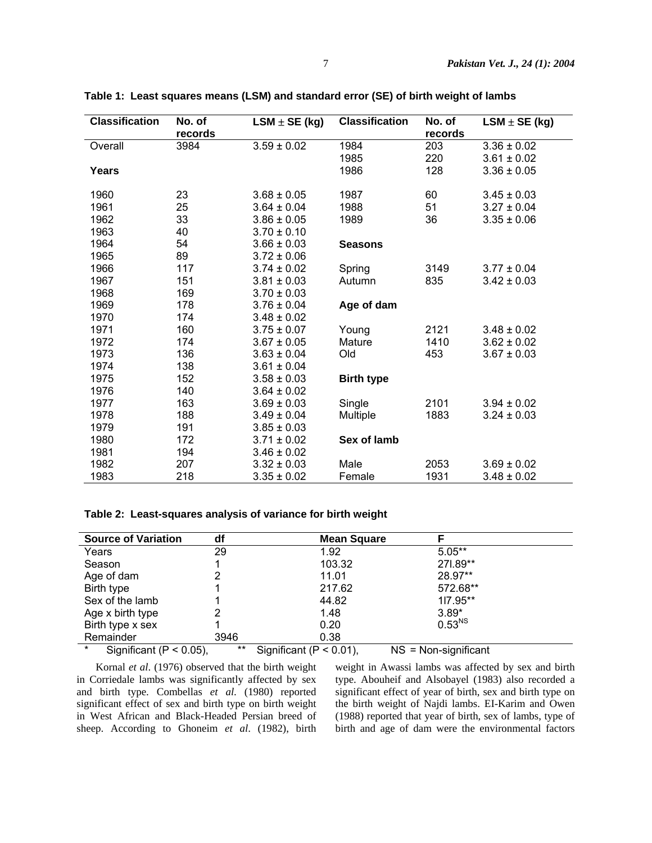| <b>Classification</b> | No. of<br>records | $LSM \pm SE (kg)$ | <b>Classification</b> | No. of<br>records | $LSM \pm SE (kg)$ |
|-----------------------|-------------------|-------------------|-----------------------|-------------------|-------------------|
| Overall               | 3984              | $3.59 \pm 0.02$   | 1984                  | 203               | $3.36 \pm 0.02$   |
|                       |                   |                   | 1985                  | 220               | $3.61 \pm 0.02$   |
| Years                 |                   |                   | 1986                  | 128               | $3.36 \pm 0.05$   |
| 1960                  | 23                | $3.68 \pm 0.05$   | 1987                  | 60                | $3.45 \pm 0.03$   |
| 1961                  | 25                | $3.64 \pm 0.04$   | 1988                  | 51                | $3.27 \pm 0.04$   |
| 1962                  | 33                | $3.86 \pm 0.05$   | 1989                  | 36                | $3.35 \pm 0.06$   |
| 1963                  | 40                | $3.70 \pm 0.10$   |                       |                   |                   |
| 1964                  | 54                | $3.66 \pm 0.03$   | <b>Seasons</b>        |                   |                   |
| 1965                  | 89                | $3.72 \pm 0.06$   |                       |                   |                   |
| 1966                  | 117               | $3.74 \pm 0.02$   | Spring                | 3149              | $3.77 \pm 0.04$   |
| 1967                  | 151               | $3.81 \pm 0.03$   | Autumn                | 835               | $3.42 \pm 0.03$   |
| 1968                  | 169               | $3.70 \pm 0.03$   |                       |                   |                   |
| 1969                  | 178               | $3.76 \pm 0.04$   | Age of dam            |                   |                   |
| 1970                  | 174               | $3.48 \pm 0.02$   |                       |                   |                   |
| 1971                  | 160               | $3.75 \pm 0.07$   | Young                 | 2121              | $3.48 \pm 0.02$   |
| 1972                  | 174               | $3.67 \pm 0.05$   | Mature                | 1410              | $3.62 \pm 0.02$   |
| 1973                  | 136               | $3.63 \pm 0.04$   | Old                   | 453               | $3.67 \pm 0.03$   |
| 1974                  | 138               | $3.61 \pm 0.04$   |                       |                   |                   |
| 1975                  | 152               | $3.58 \pm 0.03$   | <b>Birth type</b>     |                   |                   |
| 1976                  | 140               | $3.64 \pm 0.02$   |                       |                   |                   |
| 1977                  | 163               | $3.69 \pm 0.03$   | Single                | 2101              | $3.94 \pm 0.02$   |
| 1978                  | 188               | $3.49 \pm 0.04$   | Multiple              | 1883              | $3.24 \pm 0.03$   |
| 1979                  | 191               | $3.85 \pm 0.03$   |                       |                   |                   |
| 1980                  | 172               | $3.71 \pm 0.02$   | Sex of lamb           |                   |                   |
| 1981                  | 194               | $3.46 \pm 0.02$   |                       |                   |                   |
| 1982                  | 207               | $3.32 \pm 0.03$   | Male                  | 2053              | $3.69 \pm 0.02$   |
| 1983                  | 218               | $3.35 \pm 0.02$   | Female                | 1931              | $3.48 \pm 0.02$   |

**Table 1: Least squares means (LSM) and standard error (SE) of birth weight of lambs** 

#### **Table 2: Least-squares analysis of variance for birth weight**

| <b>Source of Variation</b>             | df    | <b>Mean Square</b>          |                        |
|----------------------------------------|-------|-----------------------------|------------------------|
| Years                                  | 29    | 1.92                        | $5.05**$               |
| Season                                 |       | 103.32                      | 271.89**               |
| Age of dam                             |       | 11.01                       | 28.97**                |
| Birth type                             |       | 217.62                      | 572.68**               |
| Sex of the lamb                        |       | 44.82                       | 117.95**               |
| Age x birth type                       |       | 1.48                        | $3.89*$                |
| Birth type x sex                       |       | 0.20                        | $0.53^{NS}$            |
| Remainder                              | 3946  | 0.38                        |                        |
| $\star$<br>Significant ( $P < 0.05$ ), | $***$ | Significant ( $P < 0.01$ ), | $NS = Non-significant$ |

Kornal *et al*. (1976) observed that the birth weight in Corriedale lambs was significantly affected by sex and birth type. Combellas *et al*. (1980) reported significant effect of sex and birth type on birth weight in West African and Black-Headed Persian breed of sheep. According to Ghoneim *et al*. (1982), birth

weight in Awassi lambs was affected by sex and birth type. Abouheif and Alsobayel (1983) also recorded a significant effect of year of birth, sex and birth type on the birth weight of Najdi lambs. EI-Karim and Owen (1988) reported that year of birth, sex of lambs, type of birth and age of dam were the environmental factors